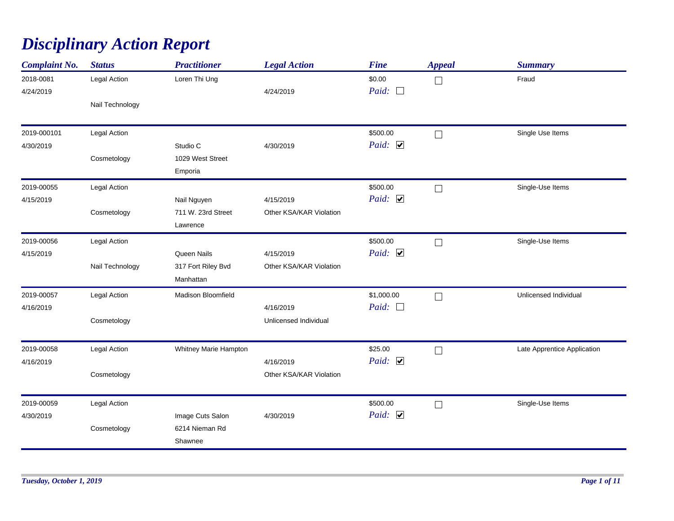## *Disciplinary Action Report*

| <b>Complaint No.</b>   | <b>Status</b>   | <b>Practitioner</b>   | <b>Legal Action</b>     | <b>Fine</b>            | <b>Appeal</b> | <b>Summary</b>              |
|------------------------|-----------------|-----------------------|-------------------------|------------------------|---------------|-----------------------------|
| 2018-0081<br>4/24/2019 | Legal Action    | Loren Thi Ung         | 4/24/2019               | \$0.00<br>Paid: $\Box$ | ⊔             | Fraud                       |
|                        | Nail Technology |                       |                         |                        |               |                             |
| 2019-000101            | Legal Action    |                       |                         | \$500.00               | $\Box$        | Single Use Items            |
| 4/30/2019              |                 | Studio C              | 4/30/2019               | Paid: $\triangledown$  |               |                             |
|                        | Cosmetology     | 1029 West Street      |                         |                        |               |                             |
|                        |                 | Emporia               |                         |                        |               |                             |
| 2019-00055             | Legal Action    |                       |                         | \$500.00               | $\Box$        | Single-Use Items            |
| 4/15/2019              |                 | Nail Nguyen           | 4/15/2019               | Paid: $\Box$           |               |                             |
|                        | Cosmetology     | 711 W. 23rd Street    | Other KSA/KAR Violation |                        |               |                             |
|                        |                 | Lawrence              |                         |                        |               |                             |
| 2019-00056             | Legal Action    |                       |                         | \$500.00               | $\Box$        | Single-Use Items            |
| 4/15/2019              |                 | Queen Nails           | 4/15/2019               | Paid: $\Box$           |               |                             |
|                        | Nail Technology | 317 Fort Riley Bvd    | Other KSA/KAR Violation |                        |               |                             |
|                        |                 | Manhattan             |                         |                        |               |                             |
| 2019-00057             | Legal Action    | Madison Bloomfield    |                         | \$1,000.00             | П             | Unlicensed Individual       |
| 4/16/2019              |                 |                       | 4/16/2019               | Paid: $\square$        |               |                             |
|                        | Cosmetology     |                       | Unlicensed Individual   |                        |               |                             |
| 2019-00058             | Legal Action    | Whitney Marie Hampton |                         | \$25.00                | П             | Late Apprentice Application |
| 4/16/2019              |                 |                       | 4/16/2019               | Paid: $\Box$           |               |                             |
|                        | Cosmetology     |                       | Other KSA/KAR Violation |                        |               |                             |
| 2019-00059             | Legal Action    |                       |                         | \$500.00               | $\Box$        | Single-Use Items            |
| 4/30/2019              |                 | Image Cuts Salon      | 4/30/2019               | Paid: $\Box$           |               |                             |
|                        | Cosmetology     | 6214 Nieman Rd        |                         |                        |               |                             |
|                        |                 | Shawnee               |                         |                        |               |                             |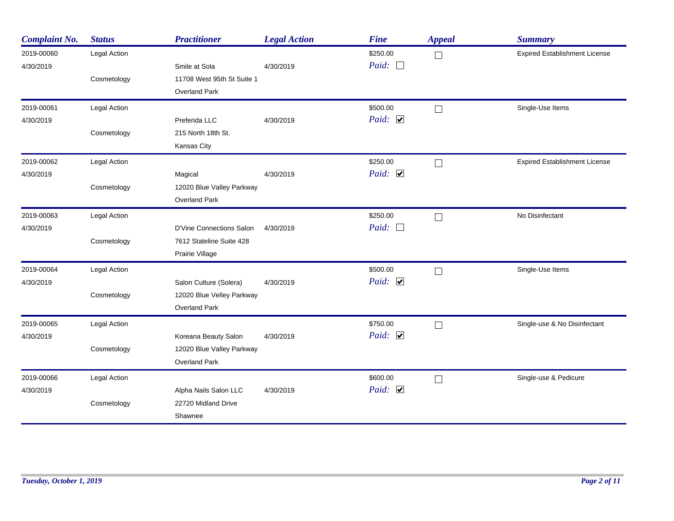| <b>Complaint No.</b>    | <b>Status</b> | <b>Practitioner</b>        | <b>Legal Action</b> | <b>Fine</b>              | <b>Appeal</b> | <b>Summary</b>                       |
|-------------------------|---------------|----------------------------|---------------------|--------------------------|---------------|--------------------------------------|
| 2019-00060<br>4/30/2019 | Legal Action  | Smile at Sola              | 4/30/2019           | \$250.00<br>Paid: $\Box$ | $\Box$        | <b>Expired Establishment License</b> |
|                         | Cosmetology   | 11708 West 95th St Suite 1 |                     |                          |               |                                      |
|                         |               | <b>Overland Park</b>       |                     |                          |               |                                      |
| 2019-00061              | Legal Action  |                            |                     | \$500.00                 | $\Box$        | Single-Use Items                     |
| 4/30/2019               |               | Preferida LLC              | 4/30/2019           | Paid: $\Box$             |               |                                      |
|                         | Cosmetology   | 215 North 18th St.         |                     |                          |               |                                      |
|                         |               | Kansas City                |                     |                          |               |                                      |
| 2019-00062              | Legal Action  |                            |                     | \$250.00                 | $\Box$        | <b>Expired Establishment License</b> |
| 4/30/2019               |               | Magical                    | 4/30/2019           | Paid: $\Box$             |               |                                      |
|                         | Cosmetology   | 12020 Blue Valley Parkway  |                     |                          |               |                                      |
|                         |               | Overland Park              |                     |                          |               |                                      |
| 2019-00063              | Legal Action  |                            |                     | \$250.00                 | $\Box$        | No Disinfectant                      |
| 4/30/2019               |               | D'Vine Connections Salon   | 4/30/2019           | Paid: $\Box$             |               |                                      |
|                         | Cosmetology   | 7612 Stateline Suite 428   |                     |                          |               |                                      |
|                         |               | Prairie Village            |                     |                          |               |                                      |
| 2019-00064              | Legal Action  |                            |                     | \$500.00                 | $\Box$        | Single-Use Items                     |
| 4/30/2019               |               | Salon Culture (Solera)     | 4/30/2019           | Paid: $\Box$             |               |                                      |
|                         | Cosmetology   | 12020 Blue Velley Parkway  |                     |                          |               |                                      |
|                         |               | Overland Park              |                     |                          |               |                                      |
| 2019-00065              | Legal Action  |                            |                     | \$750.00                 | $\Box$        | Single-use & No Disinfectant         |
| 4/30/2019               |               | Koreana Beauty Salon       | 4/30/2019           | Paid: $\Box$             |               |                                      |
|                         | Cosmetology   | 12020 Blue Valley Parkway  |                     |                          |               |                                      |
|                         |               | <b>Overland Park</b>       |                     |                          |               |                                      |
| 2019-00066              | Legal Action  |                            |                     | \$600.00                 | $\Box$        | Single-use & Pedicure                |
| 4/30/2019               |               | Alpha Nails Salon LLC      | 4/30/2019           | Paid: $\Box$             |               |                                      |
|                         | Cosmetology   | 22720 Midland Drive        |                     |                          |               |                                      |
|                         |               | Shawnee                    |                     |                          |               |                                      |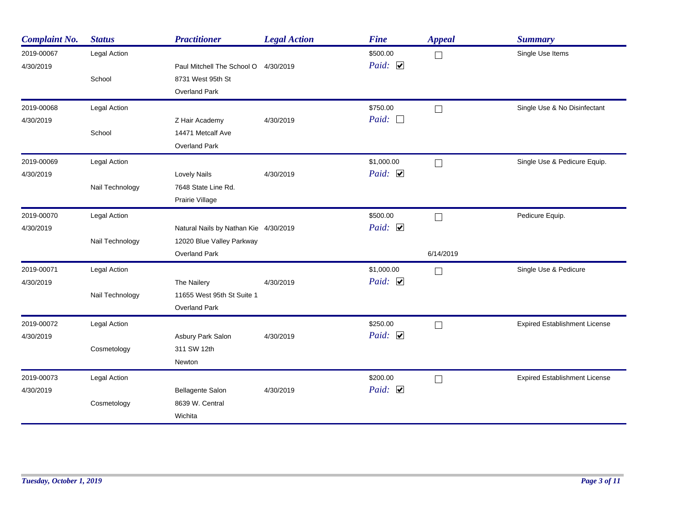| <b>Complaint No.</b>    | <b>Status</b>   | <b>Practitioner</b>                   | <b>Legal Action</b> | <b>Fine</b>                       | <b>Appeal</b> | <b>Summary</b>                       |
|-------------------------|-----------------|---------------------------------------|---------------------|-----------------------------------|---------------|--------------------------------------|
| 2019-00067<br>4/30/2019 | Legal Action    | Paul Mitchell The School O            | 4/30/2019           | \$500.00<br>Paid: $\triangledown$ | $\Box$        | Single Use Items                     |
|                         | School          | 8731 West 95th St                     |                     |                                   |               |                                      |
|                         |                 | <b>Overland Park</b>                  |                     |                                   |               |                                      |
| 2019-00068              | Legal Action    |                                       |                     | \$750.00                          | $\Box$        | Single Use & No Disinfectant         |
| 4/30/2019               |                 | Z Hair Academy                        | 4/30/2019           | Paid:<br>$\overline{\phantom{a}}$ |               |                                      |
|                         | School          | 14471 Metcalf Ave                     |                     |                                   |               |                                      |
|                         |                 | <b>Overland Park</b>                  |                     |                                   |               |                                      |
| 2019-00069              | Legal Action    |                                       |                     | \$1,000.00                        | $\Box$        | Single Use & Pedicure Equip.         |
| 4/30/2019               |                 | <b>Lovely Nails</b>                   | 4/30/2019           | Paid: $\Box$                      |               |                                      |
|                         | Nail Technology | 7648 State Line Rd.                   |                     |                                   |               |                                      |
|                         |                 | Prairie Village                       |                     |                                   |               |                                      |
| 2019-00070              | Legal Action    |                                       |                     | \$500.00                          | П             | Pedicure Equip.                      |
| 4/30/2019               |                 | Natural Nails by Nathan Kie 4/30/2019 |                     | Paid: $\Box$                      |               |                                      |
|                         | Nail Technology | 12020 Blue Valley Parkway             |                     |                                   |               |                                      |
|                         |                 | <b>Overland Park</b>                  |                     |                                   | 6/14/2019     |                                      |
| 2019-00071              | Legal Action    |                                       |                     | \$1,000.00                        | $\Box$        | Single Use & Pedicure                |
| 4/30/2019               |                 | The Nailery                           | 4/30/2019           | Paid: $\Box$                      |               |                                      |
|                         | Nail Technology | 11655 West 95th St Suite 1            |                     |                                   |               |                                      |
|                         |                 | Overland Park                         |                     |                                   |               |                                      |
| 2019-00072              | Legal Action    |                                       |                     | \$250.00                          | $\Box$        | <b>Expired Establishment License</b> |
| 4/30/2019               |                 | Asbury Park Salon                     | 4/30/2019           | Paid: $\triangledown$             |               |                                      |
|                         | Cosmetology     | 311 SW 12th                           |                     |                                   |               |                                      |
|                         |                 | Newton                                |                     |                                   |               |                                      |
| 2019-00073              | Legal Action    |                                       |                     | \$200.00                          | $\Box$        | <b>Expired Establishment License</b> |
| 4/30/2019               |                 | Bellagente Salon                      | 4/30/2019           | Paid: $\Box$                      |               |                                      |
|                         | Cosmetology     | 8639 W. Central                       |                     |                                   |               |                                      |
|                         |                 | Wichita                               |                     |                                   |               |                                      |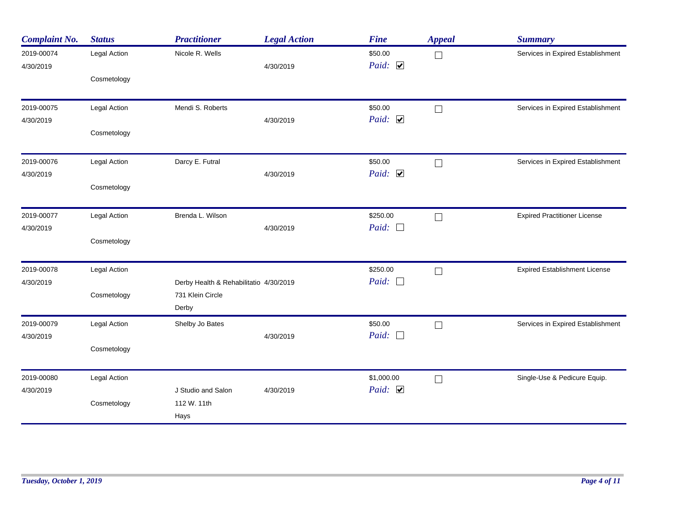| <b>Complaint No.</b>    | <b>Status</b> | <b>Practitioner</b>                                                 | <b>Legal Action</b> | <b>Fine</b>                      | <b>Appeal</b> | <b>Summary</b>                       |
|-------------------------|---------------|---------------------------------------------------------------------|---------------------|----------------------------------|---------------|--------------------------------------|
| 2019-00074<br>4/30/2019 | Legal Action  | Nicole R. Wells                                                     | 4/30/2019           | \$50.00<br>Paid: $\triangledown$ | $\Box$        | Services in Expired Establishment    |
|                         | Cosmetology   |                                                                     |                     |                                  |               |                                      |
| 2019-00075              | Legal Action  | Mendi S. Roberts                                                    |                     | \$50.00<br>Paid: $\Box$          | $\Box$        | Services in Expired Establishment    |
| 4/30/2019               | Cosmetology   |                                                                     | 4/30/2019           |                                  |               |                                      |
| 2019-00076              | Legal Action  | Darcy E. Futral                                                     |                     | \$50.00                          | $\Box$        | Services in Expired Establishment    |
| 4/30/2019               | Cosmetology   |                                                                     | 4/30/2019           | Paid: $\Box$                     |               |                                      |
| 2019-00077              | Legal Action  | Brenda L. Wilson                                                    |                     | \$250.00                         | $\Box$        | <b>Expired Practitioner License</b>  |
| 4/30/2019               | Cosmetology   |                                                                     | 4/30/2019           | Paid: $\Box$                     |               |                                      |
| 2019-00078              | Legal Action  |                                                                     |                     | \$250.00                         | $\Box$        | <b>Expired Establishment License</b> |
| 4/30/2019               | Cosmetology   | Derby Health & Rehabilitatio 4/30/2019<br>731 Klein Circle<br>Derby |                     | Paid: $\Box$                     |               |                                      |
| 2019-00079<br>4/30/2019 | Legal Action  | Shelby Jo Bates                                                     | 4/30/2019           | \$50.00<br>Paid: $\Box$          | $\Box$        | Services in Expired Establishment    |
|                         | Cosmetology   |                                                                     |                     |                                  |               |                                      |
| 2019-00080              | Legal Action  |                                                                     |                     | \$1,000.00                       | $\Box$        | Single-Use & Pedicure Equip.         |
| 4/30/2019               | Cosmetology   | J Studio and Salon<br>112 W. 11th<br>Hays                           | 4/30/2019           | Paid: $\Box$                     |               |                                      |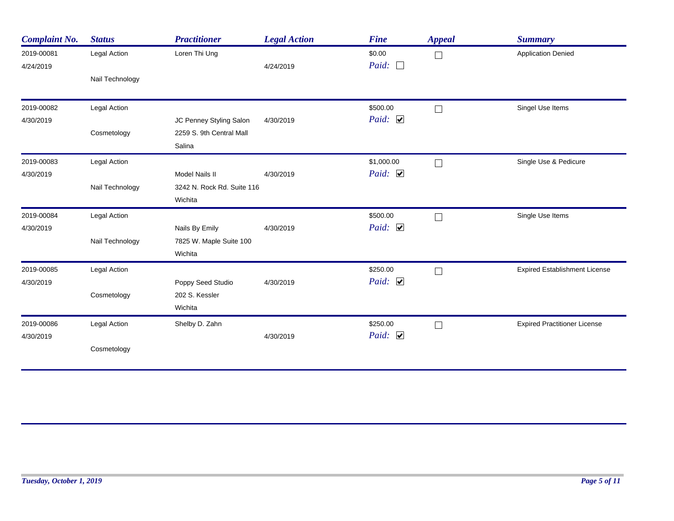| <b>Complaint No.</b>    | <b>Status</b>   | <b>Practitioner</b>        | <b>Legal Action</b> | <b>Fine</b>            | <b>Appeal</b> | <b>Summary</b>                       |
|-------------------------|-----------------|----------------------------|---------------------|------------------------|---------------|--------------------------------------|
| 2019-00081<br>4/24/2019 | Legal Action    | Loren Thi Ung              | 4/24/2019           | \$0.00<br>Paid: $\Box$ | $\Box$        | <b>Application Denied</b>            |
|                         | Nail Technology |                            |                     |                        |               |                                      |
| 2019-00082              | Legal Action    |                            |                     | \$500.00               | $\Box$        | Singel Use Items                     |
| 4/30/2019               |                 | JC Penney Styling Salon    | 4/30/2019           | Paid: $\Box$           |               |                                      |
|                         | Cosmetology     | 2259 S. 9th Central Mall   |                     |                        |               |                                      |
|                         |                 | Salina                     |                     |                        |               |                                      |
| 2019-00083              | Legal Action    |                            |                     | \$1,000.00             |               | Single Use & Pedicure                |
| 4/30/2019               |                 | <b>Model Nails II</b>      | 4/30/2019           | Paid: $\triangledown$  |               |                                      |
|                         | Nail Technology | 3242 N. Rock Rd. Suite 116 |                     |                        |               |                                      |
|                         |                 | Wichita                    |                     |                        |               |                                      |
| 2019-00084              | Legal Action    |                            |                     | \$500.00               | $\Box$        | Single Use Items                     |
| 4/30/2019               |                 | Nails By Emily             | 4/30/2019           | Paid: $\Box$           |               |                                      |
|                         | Nail Technology | 7825 W. Maple Suite 100    |                     |                        |               |                                      |
|                         |                 | Wichita                    |                     |                        |               |                                      |
| 2019-00085              | Legal Action    |                            |                     | \$250.00               | $\Box$        | <b>Expired Establishment License</b> |
| 4/30/2019               |                 | Poppy Seed Studio          | 4/30/2019           | Paid: $\Box$           |               |                                      |
|                         | Cosmetology     | 202 S. Kessler             |                     |                        |               |                                      |
|                         |                 | Wichita                    |                     |                        |               |                                      |
| 2019-00086              | Legal Action    | Shelby D. Zahn             |                     | \$250.00               | $\Box$        | <b>Expired Practitioner License</b>  |
| 4/30/2019               |                 |                            | 4/30/2019           | Paid: $\triangledown$  |               |                                      |
|                         | Cosmetology     |                            |                     |                        |               |                                      |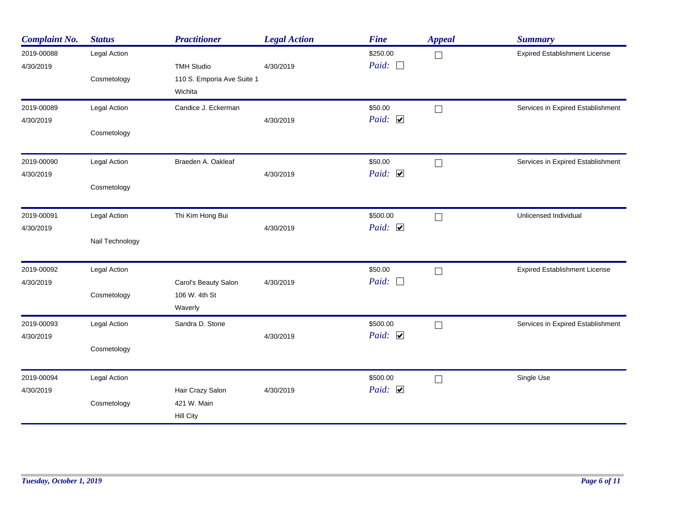| <b>Complaint No.</b>    | <b>Status</b>               | <b>Practitioner</b>                              | <b>Legal Action</b> | <b>Fine</b>                 | <b>Appeal</b> | <b>Summary</b>                       |
|-------------------------|-----------------------------|--------------------------------------------------|---------------------|-----------------------------|---------------|--------------------------------------|
| 2019-00088<br>4/30/2019 | Legal Action                | <b>TMH Studio</b>                                | 4/30/2019           | \$250.00<br>Paid: $\square$ | $\Box$        | <b>Expired Establishment License</b> |
|                         | Cosmetology                 | 110 S. Emporia Ave Suite 1<br>Wichita            |                     |                             |               |                                      |
| 2019-00089<br>4/30/2019 | Legal Action<br>Cosmetology | Candice J. Eckerman                              | 4/30/2019           | \$50.00<br>Paid: $\Box$     | $\Box$        | Services in Expired Establishment    |
|                         |                             |                                                  |                     |                             |               |                                      |
| 2019-00090<br>4/30/2019 | Legal Action                | Braeden A. Oakleaf                               | 4/30/2019           | \$50.00<br>Paid: $\Box$     | $\Box$        | Services in Expired Establishment    |
|                         | Cosmetology                 |                                                  |                     |                             |               |                                      |
| 2019-00091<br>4/30/2019 | Legal Action                | Thi Kim Hong Bui                                 | 4/30/2019           | \$500.00<br>Paid: $\Box$    | $\mathbf{L}$  | Unlicensed Individual                |
|                         | Nail Technology             |                                                  |                     |                             |               |                                      |
| 2019-00092              | Legal Action                |                                                  |                     | \$50.00                     |               | <b>Expired Establishment License</b> |
| 4/30/2019               | Cosmetology                 | Carol's Beauty Salon<br>106 W. 4th St<br>Waverly | 4/30/2019           | Paid: $\square$             |               |                                      |
| 2019-00093<br>4/30/2019 | Legal Action                | Sandra D. Stone                                  | 4/30/2019           | \$500.00<br>Paid: $\Box$    | $\Box$        | Services in Expired Establishment    |
|                         | Cosmetology                 |                                                  |                     |                             |               |                                      |
| 2019-00094              | Legal Action                |                                                  |                     | \$500.00                    | $\mathbf{L}$  | Single Use                           |
| 4/30/2019               | Cosmetology                 | Hair Crazy Salon<br>421 W. Main<br>Hill City     | 4/30/2019           | Paid: $\Box$                |               |                                      |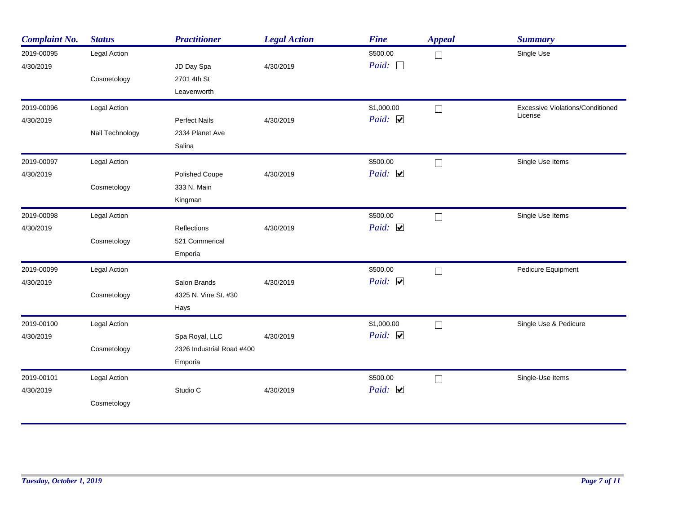| <b>Complaint No.</b> | <b>Status</b>   | <b>Practitioner</b>       | <b>Legal Action</b> | <b>Fine</b>  | <b>Appeal</b>     | <b>Summary</b>                          |
|----------------------|-----------------|---------------------------|---------------------|--------------|-------------------|-----------------------------------------|
| 2019-00095           | Legal Action    |                           |                     | \$500.00     | П                 | Single Use                              |
| 4/30/2019            |                 | JD Day Spa                | 4/30/2019           | Paid: $\Box$ |                   |                                         |
|                      | Cosmetology     | 2701 4th St               |                     |              |                   |                                         |
|                      |                 | Leavenworth               |                     |              |                   |                                         |
| 2019-00096           | Legal Action    |                           |                     | \$1,000.00   | $\Box$            | <b>Excessive Violations/Conditioned</b> |
| 4/30/2019            |                 | <b>Perfect Nails</b>      | 4/30/2019           | Paid: $\Box$ |                   | License                                 |
|                      | Nail Technology | 2334 Planet Ave           |                     |              |                   |                                         |
|                      |                 | Salina                    |                     |              |                   |                                         |
| 2019-00097           | Legal Action    |                           |                     | \$500.00     | $\vert \ \ \vert$ | Single Use Items                        |
| 4/30/2019            |                 | <b>Polished Coupe</b>     | 4/30/2019           | Paid: $\Box$ |                   |                                         |
|                      | Cosmetology     | 333 N. Main               |                     |              |                   |                                         |
|                      |                 | Kingman                   |                     |              |                   |                                         |
| 2019-00098           | Legal Action    |                           |                     | \$500.00     | $\Box$            | Single Use Items                        |
| 4/30/2019            |                 | <b>Reflections</b>        | 4/30/2019           | Paid: $\Box$ |                   |                                         |
|                      | Cosmetology     | 521 Commerical            |                     |              |                   |                                         |
|                      |                 | Emporia                   |                     |              |                   |                                         |
| 2019-00099           | Legal Action    |                           |                     | \$500.00     | $\Box$            | Pedicure Equipment                      |
| 4/30/2019            |                 | Salon Brands              | 4/30/2019           | Paid: $\Box$ |                   |                                         |
|                      | Cosmetology     | 4325 N. Vine St. #30      |                     |              |                   |                                         |
|                      |                 | Hays                      |                     |              |                   |                                         |
| 2019-00100           | Legal Action    |                           |                     | \$1,000.00   | П                 | Single Use & Pedicure                   |
| 4/30/2019            |                 | Spa Royal, LLC            | 4/30/2019           | Paid: $\Box$ |                   |                                         |
|                      | Cosmetology     | 2326 Industrial Road #400 |                     |              |                   |                                         |
|                      |                 | Emporia                   |                     |              |                   |                                         |
| 2019-00101           | Legal Action    |                           |                     | \$500.00     | $\Box$            | Single-Use Items                        |
| 4/30/2019            |                 | Studio C                  | 4/30/2019           | Paid: $\Box$ |                   |                                         |
|                      | Cosmetology     |                           |                     |              |                   |                                         |
|                      |                 |                           |                     |              |                   |                                         |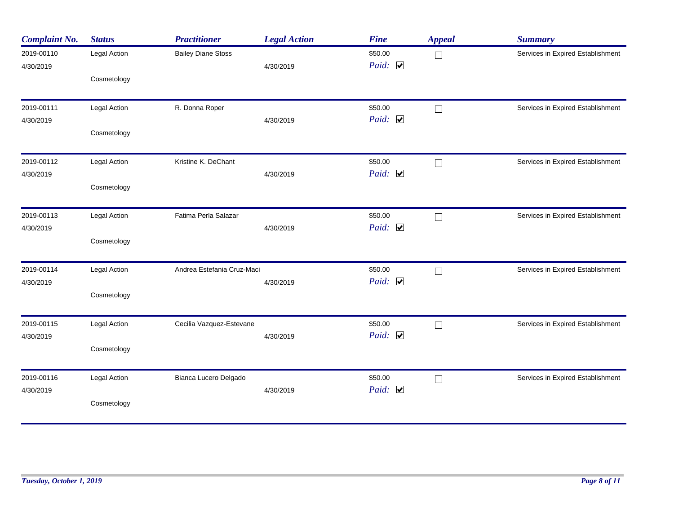| <b>Complaint No.</b>    | <b>Status</b> | <b>Practitioner</b>        | <b>Legal Action</b> | <b>Fine</b>                      | <b>Appeal</b> | <b>Summary</b>                    |
|-------------------------|---------------|----------------------------|---------------------|----------------------------------|---------------|-----------------------------------|
| 2019-00110<br>4/30/2019 | Legal Action  | <b>Bailey Diane Stoss</b>  | 4/30/2019           | \$50.00<br>Paid: $\triangledown$ | $\Box$        | Services in Expired Establishment |
|                         | Cosmetology   |                            |                     |                                  |               |                                   |
| 2019-00111              | Legal Action  | R. Donna Roper             |                     | \$50.00<br>Paid: $\Box$          | $\Box$        | Services in Expired Establishment |
| 4/30/2019               | Cosmetology   |                            | 4/30/2019           |                                  |               |                                   |
| 2019-00112<br>4/30/2019 | Legal Action  | Kristine K. DeChant        | 4/30/2019           | \$50.00<br>Paid: $\Box$          | $\Box$        | Services in Expired Establishment |
|                         | Cosmetology   |                            |                     |                                  |               |                                   |
| 2019-00113              | Legal Action  | Fatima Perla Salazar       |                     | \$50.00                          | $\Box$        | Services in Expired Establishment |
| 4/30/2019               | Cosmetology   |                            | 4/30/2019           | Paid: $\Box$                     |               |                                   |
| 2019-00114              | Legal Action  | Andrea Estefania Cruz-Maci |                     | \$50.00<br>Paid: $\Box$          | $\Box$        | Services in Expired Establishment |
| 4/30/2019               | Cosmetology   |                            | 4/30/2019           |                                  |               |                                   |
| 2019-00115              | Legal Action  | Cecilia Vazquez-Estevane   | 4/30/2019           | \$50.00<br>Paid: $\triangledown$ | $\Box$        | Services in Expired Establishment |
| 4/30/2019               | Cosmetology   |                            |                     |                                  |               |                                   |
| 2019-00116<br>4/30/2019 | Legal Action  | Bianca Lucero Delgado      | 4/30/2019           | \$50.00<br>Paid: $\Box$          | └             | Services in Expired Establishment |
|                         | Cosmetology   |                            |                     |                                  |               |                                   |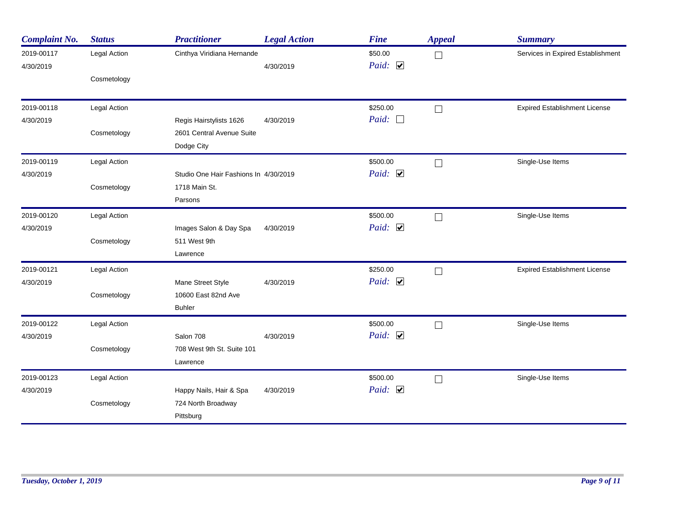| <b>Complaint No.</b>    | <b>Status</b> | <b>Practitioner</b>                   | <b>Legal Action</b> | <b>Fine</b>             | <b>Appeal</b> | <b>Summary</b>                       |
|-------------------------|---------------|---------------------------------------|---------------------|-------------------------|---------------|--------------------------------------|
| 2019-00117<br>4/30/2019 | Legal Action  | Cinthya Viridiana Hernande            | 4/30/2019           | \$50.00<br>Paid: $\Box$ | $\Box$        | Services in Expired Establishment    |
|                         | Cosmetology   |                                       |                     |                         |               |                                      |
| 2019-00118              | Legal Action  |                                       |                     | \$250.00                | $\Box$        | <b>Expired Establishment License</b> |
| 4/30/2019               |               | Regis Hairstylists 1626               | 4/30/2019           | Paid: $\Box$            |               |                                      |
|                         | Cosmetology   | 2601 Central Avenue Suite             |                     |                         |               |                                      |
|                         |               | Dodge City                            |                     |                         |               |                                      |
| 2019-00119              | Legal Action  |                                       |                     | \$500.00                | $\Box$        | Single-Use Items                     |
| 4/30/2019               |               | Studio One Hair Fashions In 4/30/2019 |                     | Paid: $\Box$            |               |                                      |
|                         | Cosmetology   | 1718 Main St.                         |                     |                         |               |                                      |
|                         |               | Parsons                               |                     |                         |               |                                      |
| 2019-00120              | Legal Action  |                                       |                     | \$500.00                | П             | Single-Use Items                     |
| 4/30/2019               |               | Images Salon & Day Spa                | 4/30/2019           | Paid: $\Box$            |               |                                      |
|                         | Cosmetology   | 511 West 9th                          |                     |                         |               |                                      |
|                         |               | Lawrence                              |                     |                         |               |                                      |
| 2019-00121              | Legal Action  |                                       |                     | \$250.00                | $\Box$        | <b>Expired Establishment License</b> |
| 4/30/2019               |               | Mane Street Style                     | 4/30/2019           | Paid: $\Box$            |               |                                      |
|                         | Cosmetology   | 10600 East 82nd Ave                   |                     |                         |               |                                      |
|                         |               | <b>Buhler</b>                         |                     |                         |               |                                      |
| 2019-00122              | Legal Action  |                                       |                     | \$500.00                | $\Box$        | Single-Use Items                     |
| 4/30/2019               |               | Salon 708                             | 4/30/2019           | Paid: $\Box$            |               |                                      |
|                         | Cosmetology   | 708 West 9th St. Suite 101            |                     |                         |               |                                      |
|                         |               | Lawrence                              |                     |                         |               |                                      |
| 2019-00123              | Legal Action  |                                       |                     | \$500.00                | $\Box$        | Single-Use Items                     |
| 4/30/2019               |               | Happy Nails, Hair & Spa               | 4/30/2019           | Paid: $\Box$            |               |                                      |
|                         | Cosmetology   | 724 North Broadway                    |                     |                         |               |                                      |
|                         |               | Pittsburg                             |                     |                         |               |                                      |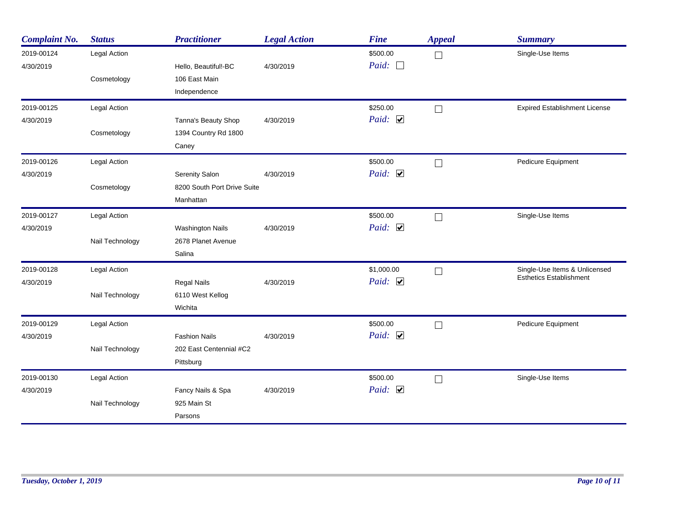| <b>Complaint No.</b> | <b>Status</b>   | <b>Practitioner</b>         | <b>Legal Action</b> | <b>Fine</b>  | <b>Appeal</b> | <b>Summary</b>                       |
|----------------------|-----------------|-----------------------------|---------------------|--------------|---------------|--------------------------------------|
| 2019-00124           | Legal Action    |                             |                     | \$500.00     | $\Box$        | Single-Use Items                     |
| 4/30/2019            |                 | Hello, Beautiful!-BC        | 4/30/2019           | Paid: $\Box$ |               |                                      |
|                      | Cosmetology     | 106 East Main               |                     |              |               |                                      |
|                      |                 | Independence                |                     |              |               |                                      |
| 2019-00125           | Legal Action    |                             |                     | \$250.00     | $\Box$        | <b>Expired Establishment License</b> |
| 4/30/2019            |                 | Tanna's Beauty Shop         | 4/30/2019           | Paid: $\Box$ |               |                                      |
|                      | Cosmetology     | 1394 Country Rd 1800        |                     |              |               |                                      |
|                      |                 | Caney                       |                     |              |               |                                      |
| 2019-00126           | Legal Action    |                             |                     | \$500.00     | $\Box$        | Pedicure Equipment                   |
| 4/30/2019            |                 | Serenity Salon              | 4/30/2019           | Paid: $\Box$ |               |                                      |
|                      | Cosmetology     | 8200 South Port Drive Suite |                     |              |               |                                      |
|                      |                 | Manhattan                   |                     |              |               |                                      |
| 2019-00127           | Legal Action    |                             |                     | \$500.00     | $\Box$        | Single-Use Items                     |
| 4/30/2019            |                 | <b>Washington Nails</b>     | 4/30/2019           | Paid: $\Box$ |               |                                      |
|                      | Nail Technology | 2678 Planet Avenue          |                     |              |               |                                      |
|                      |                 | Salina                      |                     |              |               |                                      |
| 2019-00128           | Legal Action    |                             |                     | \$1,000.00   | П             | Single-Use Items & Unlicensed        |
| 4/30/2019            |                 | <b>Regal Nails</b>          | 4/30/2019           | Paid: $\Box$ |               | <b>Esthetics Establishment</b>       |
|                      | Nail Technology | 6110 West Kellog            |                     |              |               |                                      |
|                      |                 | Wichita                     |                     |              |               |                                      |
| 2019-00129           | Legal Action    |                             |                     | \$500.00     | $\Box$        | Pedicure Equipment                   |
| 4/30/2019            |                 | <b>Fashion Nails</b>        | 4/30/2019           | Paid: $\Box$ |               |                                      |
|                      | Nail Technology | 202 East Centennial #C2     |                     |              |               |                                      |
|                      |                 | Pittsburg                   |                     |              |               |                                      |
| 2019-00130           | Legal Action    |                             |                     | \$500.00     | П             | Single-Use Items                     |
| 4/30/2019            |                 | Fancy Nails & Spa           | 4/30/2019           | Paid: $\Box$ |               |                                      |
|                      | Nail Technology | 925 Main St                 |                     |              |               |                                      |
|                      |                 | Parsons                     |                     |              |               |                                      |